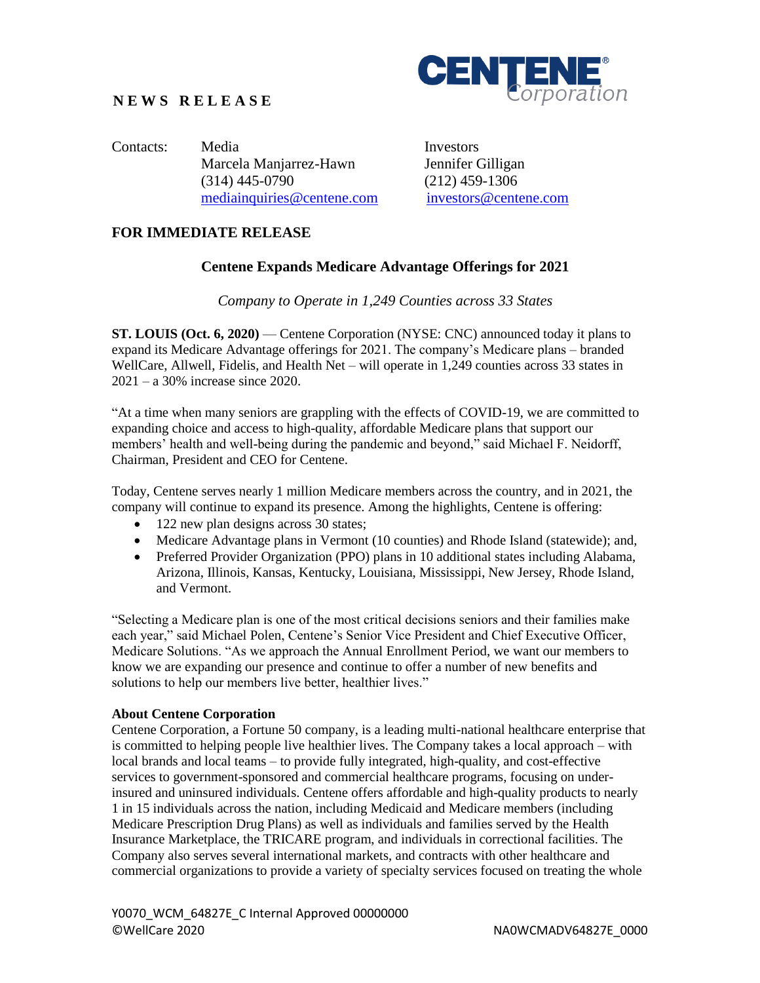# **N E W S R E L E A S E**



Contacts: Media Investors Marcela Manjarrez-Hawn Jennifer Gilligan (314) 445-0790 (212) 459-1306 [mediainquiries@centene.com](mailto:mediainquiries@centene.com) [investors@centene.com](mailto:investors@centene.com)

## **FOR IMMEDIATE RELEASE**

### **Centene Expands Medicare Advantage Offerings for 2021**

*Company to Operate in 1,249 Counties across 33 States*

**ST. LOUIS (Oct. 6, 2020)** — Centene Corporation (NYSE: CNC) announced today it plans to expand its Medicare Advantage offerings for 2021. The company's Medicare plans – branded WellCare, Allwell, Fidelis, and Health Net – will operate in 1,249 counties across 33 states in 2021 – a 30% increase since 2020.

"At a time when many seniors are grappling with the effects of COVID-19, we are committed to expanding choice and access to high-quality, affordable Medicare plans that support our members' health and well-being during the pandemic and beyond," said Michael F. Neidorff, Chairman, President and CEO for Centene.

Today, Centene serves nearly 1 million Medicare members across the country, and in 2021, the company will continue to expand its presence. Among the highlights, Centene is offering:

- 122 new plan designs across 30 states;
- Medicare Advantage plans in Vermont (10 counties) and Rhode Island (statewide); and,
- Preferred Provider Organization (PPO) plans in 10 additional states including Alabama, Arizona, Illinois, Kansas, Kentucky, Louisiana, Mississippi, New Jersey, Rhode Island, and Vermont.

"Selecting a Medicare plan is one of the most critical decisions seniors and their families make each year," said Michael Polen, Centene's Senior Vice President and Chief Executive Officer, Medicare Solutions. "As we approach the Annual Enrollment Period, we want our members to know we are expanding our presence and continue to offer a number of new benefits and solutions to help our members live better, healthier lives."

#### **About Centene Corporation**

Centene Corporation, a Fortune 50 company, is a leading multi-national healthcare enterprise that is committed to helping people live healthier lives. The Company takes a local approach – with local brands and local teams – to provide fully integrated, high-quality, and cost-effective services to government-sponsored and commercial healthcare programs, focusing on underinsured and uninsured individuals. Centene offers affordable and high-quality products to nearly 1 in 15 individuals across the nation, including Medicaid and Medicare members (including Medicare Prescription Drug Plans) as well as individuals and families served by the Health Insurance Marketplace, the TRICARE program, and individuals in correctional facilities. The Company also serves several international markets, and contracts with other healthcare and commercial organizations to provide a variety of specialty services focused on treating the whole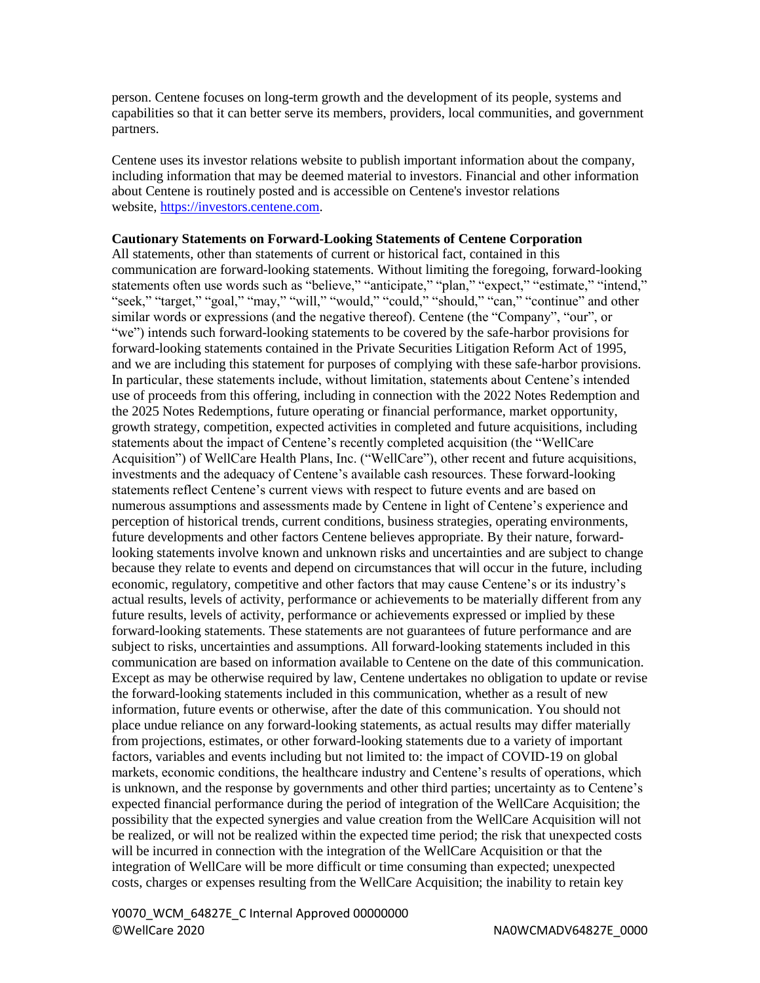person. Centene focuses on long-term growth and the development of its people, systems and capabilities so that it can better serve its members, providers, local communities, and government partners.

Centene uses its investor relations website to publish important information about the company, including information that may be deemed material to investors. Financial and other information about Centene is routinely posted and is accessible on Centene's investor relations website, [https://investors.centene.com.](https://c212.net/c/link/?t=0&l=en&o=2912786-1&h=1371427921&u=https%3A%2F%2Finvestors.centene.com%2F&a=https%3A%2F%2Finvestors.centene.com)

#### **Cautionary Statements on Forward-Looking Statements of Centene Corporation**

All statements, other than statements of current or historical fact, contained in this communication are forward-looking statements. Without limiting the foregoing, forward-looking statements often use words such as "believe," "anticipate," "plan," "expect," "estimate," "intend," "seek," "target," "goal," "may," "will," "would," "could," "should," "can," "continue" and other similar words or expressions (and the negative thereof). Centene (the "Company", "our", or "we") intends such forward-looking statements to be covered by the safe-harbor provisions for forward-looking statements contained in the Private Securities Litigation Reform Act of 1995, and we are including this statement for purposes of complying with these safe-harbor provisions. In particular, these statements include, without limitation, statements about Centene's intended use of proceeds from this offering, including in connection with the 2022 Notes Redemption and the 2025 Notes Redemptions, future operating or financial performance, market opportunity, growth strategy, competition, expected activities in completed and future acquisitions, including statements about the impact of Centene's recently completed acquisition (the "WellCare Acquisition") of WellCare Health Plans, Inc. ("WellCare"), other recent and future acquisitions, investments and the adequacy of Centene's available cash resources. These forward-looking statements reflect Centene's current views with respect to future events and are based on numerous assumptions and assessments made by Centene in light of Centene's experience and perception of historical trends, current conditions, business strategies, operating environments, future developments and other factors Centene believes appropriate. By their nature, forwardlooking statements involve known and unknown risks and uncertainties and are subject to change because they relate to events and depend on circumstances that will occur in the future, including economic, regulatory, competitive and other factors that may cause Centene's or its industry's actual results, levels of activity, performance or achievements to be materially different from any future results, levels of activity, performance or achievements expressed or implied by these forward-looking statements. These statements are not guarantees of future performance and are subject to risks, uncertainties and assumptions. All forward-looking statements included in this communication are based on information available to Centene on the date of this communication. Except as may be otherwise required by law, Centene undertakes no obligation to update or revise the forward-looking statements included in this communication, whether as a result of new information, future events or otherwise, after the date of this communication. You should not place undue reliance on any forward-looking statements, as actual results may differ materially from projections, estimates, or other forward-looking statements due to a variety of important factors, variables and events including but not limited to: the impact of COVID-19 on global markets, economic conditions, the healthcare industry and Centene's results of operations, which is unknown, and the response by governments and other third parties; uncertainty as to Centene's expected financial performance during the period of integration of the WellCare Acquisition; the possibility that the expected synergies and value creation from the WellCare Acquisition will not be realized, or will not be realized within the expected time period; the risk that unexpected costs will be incurred in connection with the integration of the WellCare Acquisition or that the integration of WellCare will be more difficult or time consuming than expected; unexpected costs, charges or expenses resulting from the WellCare Acquisition; the inability to retain key